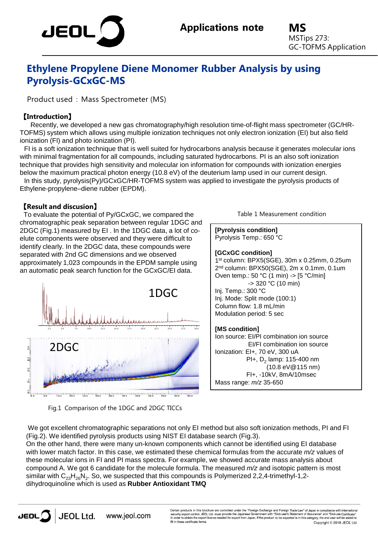

**MS** MSTips 273: GC-TOFMS Application

# **Ethylene Propylene Diene Monomer Rubber Analysis by using Pyrolysis-GCxGC-MS**

Product used : Mass Spectrometer (MS)

## 【**Introduction**】

Recently, we developed a new gas chromatography/high resolution time-of-flight mass spectrometer (GC/HR-TOFMS) system which allows using multiple ionization techniques not only electron ionization (EI) but also field ionization (FI) and photo ionization (PI).

FI is a soft ionization technique that is well suited for hydrocarbons analysis because it generates molecular ions with minimal fragmentation for all compounds, including saturated hydrocarbons. PI is an also soft ionization technique that provides high sensitivity and molecular ion information for compounds with ionization energies below the maximum practical photon energy (10.8 eV) of the deuterium lamp used in our current design.

In this study, pyrolysis(Py)/GCxGC/HR-TOFMS system was applied to investigate the pyrolysis products of Ethylene-propylene–diene rubber (EPDM).

### 【**Result and discusion**】

To evaluate the potential of Py/GCxGC, we compared the chromatographic peak separation between regular 1DGC and 2DGC (Fig.1) measured by EI . In the 1DGC data, a lot of coelute components were observed and they were difficult to identify clearly. In the 2DGC data, these compounds were separated with 2nd GC dimensions and we observed approximately 1,023 compounds in the EPDM sample using an automatic peak search function for the GCxGC/EI data.



Fig.1 Comparison of the 1DGC and 2DGC TICCs

Table 1 Measurement condition

**[Pyrolysis condition]**

Pyrolysis Temp.: 650 °C

#### **[GCxGC condition]**

1st column: BPX5(SGE), 30m x 0.25mm, 0.25um 2nd column: BPX50(SGE), 2m x 0.1mm, 0.1um Oven temp.: 50 °C (1 min) -> [5 °C/min]  $-$  320 °C (10 min) Inj. Temp.: 300 °C Inj. Mode: Split mode (100:1) Column flow: 1.8 mL/min Modulation period: 5 sec

#### **[MS condition]**

Ion source: EI/PI combination ion source EI/FI combination ion source Ionization: EI+, 70 eV, 300 uA PI+,  $D_2$  lamp: 115-400 nm (10.8 eV@115 nm) FI+, -10kV, 8mA/10msec Mass range: *m/z* 35-650

We got excellent chromatographic separations not only EI method but also soft ionization methods, PI and FI (Fig.2). We identified pyrolysis products using NIST EI database search (Fig.3).

On the other hand, there were many un-known components which cannot be identified using EI database with lower match factor. In this case, we estimated these chemical formulas from the accurate *m/z* values of these molecular ions in FI and PI mass spectra. For example, we showed accurate mass analysis about compound A. We got 6 candidate for the molecule formula. The measured *m/z* and isotopic pattern is most similar with  $C_{23}H_{26}N_2$ . So, we suspected that this compounds is Polymerized 2,2,4-trimethyl-1,2dihydroquinoline which is used as **Rubber Antioxidant TMQ**